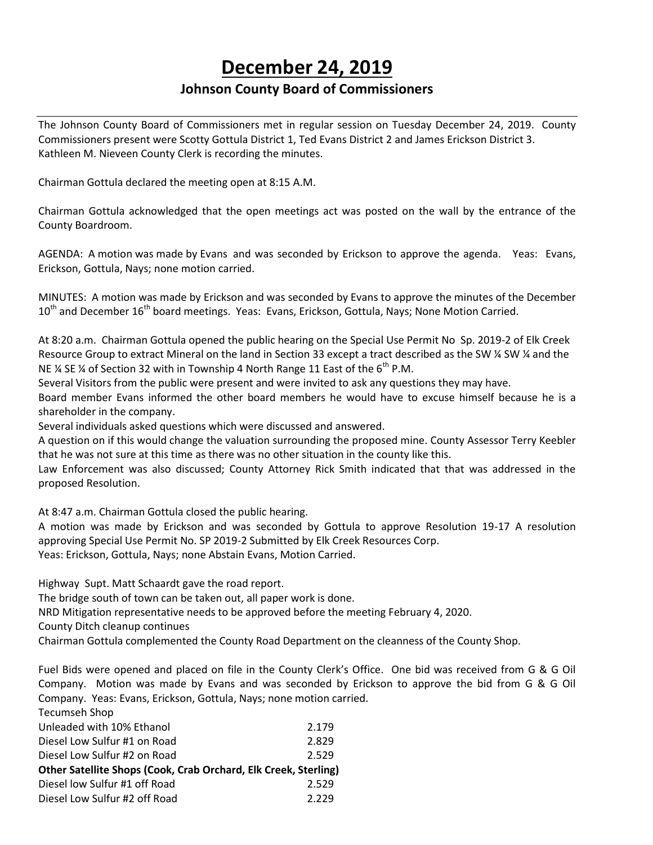# **December 24, 2019**

# **Johnson County Board of Commissioners**

The Johnson County Board of Commissioners met in regular session on Tuesday December 24, 2019. County Commissioners present were Scotty Gottula District 1, Ted Evans District 2 and James Erickson District 3. Kathleen M. Nieveen County Clerk is recording the minutes.

Chairman Gottula declared the meeting open at 8:15 A.M.

Chairman Gottula acknowledged that the open meetings act was posted on the wall by the entrance of the County Boardroom.

AGENDA: A motion was made by Evans and was seconded by Erickson to approve the agenda. Yeas: Evans, Erickson, Gottula, Nays; none motion carried.

MINUTES: A motion was made by Erickson and was seconded by Evans to approve the minutes of the December 10<sup>th</sup> and December 16<sup>th</sup> board meetings. Yeas: Evans, Erickson, Gottula, Nays; None Motion Carried.

At 8:20 a.m. Chairman Gottula opened the public hearing on the Special Use Permit No Sp. 2019-2 of Elk Creek Resource Group to extract Mineral on the land in Section 33 except a tract described as the SW % SW % and the NE  $\%$  SE  $\%$  of Section 32 with in Township 4 North Range 11 East of the 6<sup>th</sup> P.M.

Several Visitors from the public were present and were invited to ask any questions they may have.

Board member Evans informed the other board members he would have to excuse himself because he is a shareholder in the company.

Several individuals asked questions which were discussed and answered.

A question on if this would change the valuation surrounding the proposed mine. County Assessor Terry Keebler that he was not sure at this time as there was no other situation in the county like this.

Law Enforcement was also discussed; County Attorney Rick Smith indicated that that was addressed in the proposed Resolution.

At 8:47 a.m. Chairman Gottula closed the public hearing.

A motion was made by Erickson and was seconded by Gottula to approve Resolution 19-17 A resolution approving Special Use Permit No. SP 2019-2 Submitted by Elk Creek Resources Corp. Yeas: Erickson, Gottula, Nays; none Abstain Evans, Motion Carried.

Highway Supt. Matt Schaardt gave the road report.

The bridge south of town can be taken out, all paper work is done.

NRD Mitigation representative needs to be approved before the meeting February 4, 2020.

County Ditch cleanup continues

Tecumseh Shop

Chairman Gottula complemented the County Road Department on the cleanness of the County Shop.

Fuel Bids were opened and placed on file in the County Clerk's Office. One bid was received from G & G Oil Company. Motion was made by Evans and was seconded by Erickson to approve the bid from G & G Oil Company. Yeas: Evans, Erickson, Gottula, Nays; none motion carried.

| Tecumsen Shop                                                   |       |
|-----------------------------------------------------------------|-------|
| Unleaded with 10% Ethanol                                       | 2.179 |
| Diesel Low Sulfur #1 on Road                                    | 2.829 |
| Diesel Low Sulfur #2 on Road                                    | 2.529 |
| Other Satellite Shops (Cook, Crab Orchard, Elk Creek, Sterling) |       |
| Diesel low Sulfur #1 off Road                                   | 2.529 |
| Diesel Low Sulfur #2 off Road                                   | 2.229 |
|                                                                 |       |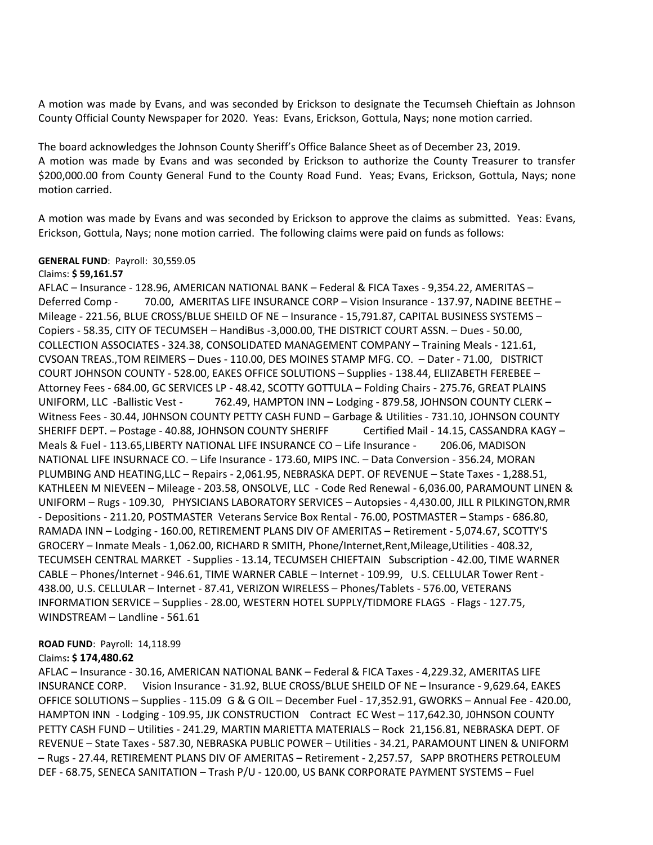A motion was made by Evans, and was seconded by Erickson to designate the Tecumseh Chieftain as Johnson County Official County Newspaper for 2020. Yeas: Evans, Erickson, Gottula, Nays; none motion carried.

The board acknowledges the Johnson County Sheriff's Office Balance Sheet as of December 23, 2019. A motion was made by Evans and was seconded by Erickson to authorize the County Treasurer to transfer \$200,000.00 from County General Fund to the County Road Fund. Yeas; Evans, Erickson, Gottula, Nays; none motion carried.

A motion was made by Evans and was seconded by Erickson to approve the claims as submitted. Yeas: Evans, Erickson, Gottula, Nays; none motion carried. The following claims were paid on funds as follows:

#### **GENERAL FUND**: Payroll: 30,559.05

#### Claims: **\$ 59,161.57**

AFLAC – Insurance - 128.96, AMERICAN NATIONAL BANK – Federal & FICA Taxes - 9,354.22, AMERITAS – Deferred Comp - 70.00, AMERITAS LIFE INSURANCE CORP - Vision Insurance - 137.97, NADINE BEETHE -Mileage - 221.56, BLUE CROSS/BLUE SHEILD OF NE – Insurance - 15,791.87, CAPITAL BUSINESS SYSTEMS – Copiers - 58.35, CITY OF TECUMSEH – HandiBus -3,000.00, THE DISTRICT COURT ASSN. – Dues - 50.00, COLLECTION ASSOCIATES - 324.38, CONSOLIDATED MANAGEMENT COMPANY – Training Meals - 121.61, CVSOAN TREAS.,TOM REIMERS – Dues - 110.00, DES MOINES STAMP MFG. CO. – Dater - 71.00, DISTRICT COURT JOHNSON COUNTY - 528.00, EAKES OFFICE SOLUTIONS – Supplies - 138.44, ELIIZABETH FEREBEE – Attorney Fees - 684.00, GC SERVICES LP - 48.42, SCOTTY GOTTULA – Folding Chairs - 275.76, GREAT PLAINS UNIFORM, LLC -Ballistic Vest - 762.49, HAMPTON INN – Lodging - 879.58, JOHNSON COUNTY CLERK – Witness Fees - 30.44, J0HNSON COUNTY PETTY CASH FUND – Garbage & Utilities - 731.10, JOHNSON COUNTY SHERIFF DEPT. – Postage - 40.88, JOHNSON COUNTY SHERIFF Certified Mail - 14.15, CASSANDRA KAGY – Meals & Fuel - 113.65,LIBERTY NATIONAL LIFE INSURANCE CO – Life Insurance - 206.06, MADISON NATIONAL LIFE INSURNACE CO. – Life Insurance - 173.60, MIPS INC. – Data Conversion - 356.24, MORAN PLUMBING AND HEATING,LLC – Repairs - 2,061.95, NEBRASKA DEPT. OF REVENUE – State Taxes - 1,288.51, KATHLEEN M NIEVEEN – Mileage - 203.58, ONSOLVE, LLC - Code Red Renewal - 6,036.00, PARAMOUNT LINEN & UNIFORM – Rugs - 109.30, PHYSICIANS LABORATORY SERVICES – Autopsies - 4,430.00, JILL R PILKINGTON,RMR - Depositions - 211.20, POSTMASTER Veterans Service Box Rental - 76.00, POSTMASTER – Stamps - 686.80, RAMADA INN – Lodging - 160.00, RETIREMENT PLANS DIV OF AMERITAS – Retirement - 5,074.67, SCOTTY'S GROCERY – Inmate Meals - 1,062.00, RICHARD R SMITH, Phone/Internet,Rent,Mileage,Utilities - 408.32, TECUMSEH CENTRAL MARKET - Supplies - 13.14, TECUMSEH CHIEFTAIN Subscription - 42.00, TIME WARNER CABLE – Phones/Internet - 946.61, TIME WARNER CABLE – Internet - 109.99, U.S. CELLULAR Tower Rent - 438.00, U.S. CELLULAR – Internet - 87.41, VERIZON WIRELESS – Phones/Tablets - 576.00, VETERANS INFORMATION SERVICE – Supplies - 28.00, WESTERN HOTEL SUPPLY/TIDMORE FLAGS - Flags - 127.75, WINDSTREAM – Landline - 561.61

#### **ROAD FUND**: Payroll: 14,118.99

#### Claims**: \$ 174,480.62**

AFLAC – Insurance - 30.16, AMERICAN NATIONAL BANK – Federal & FICA Taxes - 4,229.32, AMERITAS LIFE INSURANCE CORP. Vision Insurance - 31.92, BLUE CROSS/BLUE SHEILD OF NE – Insurance - 9,629.64, EAKES OFFICE SOLUTIONS – Supplies - 115.09 G & G OIL – December Fuel - 17,352.91, GWORKS – Annual Fee - 420.00, HAMPTON INN - Lodging - 109.95, JJK CONSTRUCTION Contract EC West – 117,642.30, J0HNSON COUNTY PETTY CASH FUND – Utilities - 241.29, MARTIN MARIETTA MATERIALS – Rock 21,156.81, NEBRASKA DEPT. OF REVENUE – State Taxes - 587.30, NEBRASKA PUBLIC POWER – Utilities - 34.21, PARAMOUNT LINEN & UNIFORM – Rugs - 27.44, RETIREMENT PLANS DIV OF AMERITAS – Retirement - 2,257.57, SAPP BROTHERS PETROLEUM DEF - 68.75, SENECA SANITATION – Trash P/U - 120.00, US BANK CORPORATE PAYMENT SYSTEMS – Fuel